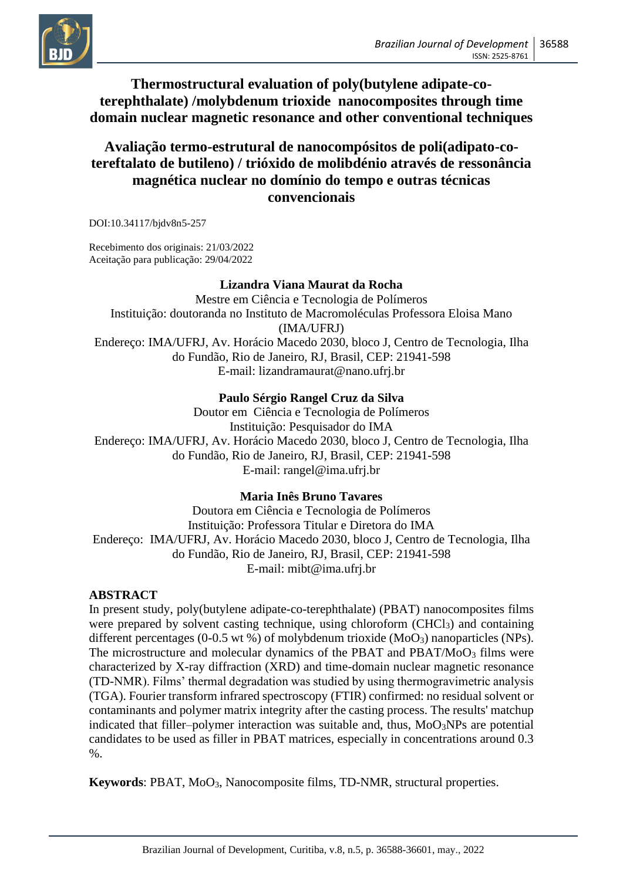

## **Thermostructural evaluation of poly(butylene adipate-coterephthalate) /molybdenum trioxide nanocomposites through time domain nuclear magnetic resonance and other conventional techniques**

# **Avaliação termo-estrutural de nanocompósitos de poli(adipato-cotereftalato de butileno) / trióxido de molibdénio através de ressonância magnética nuclear no domínio do tempo e outras técnicas convencionais**

DOI:10.34117/bjdv8n5-257

Recebimento dos originais: 21/03/2022 Aceitação para publicação: 29/04/2022

## **Lizandra Viana Maurat da Rocha**

Mestre em Ciência e Tecnologia de Polímeros Instituição: doutoranda no Instituto de Macromoléculas Professora Eloisa Mano (IMA/UFRJ) Endereço: IMA/UFRJ, Av. Horácio Macedo 2030, bloco J, Centro de Tecnologia, Ilha do Fundão, Rio de Janeiro, RJ, Brasil, CEP: 21941-598 E-mail: lizandramaurat@nano.ufrj.br

#### **Paulo Sérgio Rangel Cruz da Silva**

Doutor em Ciência e Tecnologia de Polímeros Instituição: Pesquisador do IMA Endereço: IMA/UFRJ, Av. Horácio Macedo 2030, bloco J, Centro de Tecnologia, Ilha do Fundão, Rio de Janeiro, RJ, Brasil, CEP: 21941-598 E-mail: rangel@ima.ufrj.br

### **Maria Inês Bruno Tavares**

Doutora em Ciência e Tecnologia de Polímeros Instituição: Professora Titular e Diretora do IMA Endereço: IMA/UFRJ, Av. Horácio Macedo 2030, bloco J, Centro de Tecnologia, Ilha do Fundão, Rio de Janeiro, RJ, Brasil, CEP: 21941-598 E-mail: mibt@ima.ufrj.br

#### **ABSTRACT**

In present study, poly(butylene adipate-co-terephthalate) (PBAT) nanocomposites films were prepared by solvent casting technique, using chloroform (CHCl<sub>3</sub>) and containing different percentages (0-0.5 wt %) of molybdenum trioxide ( $MoO<sub>3</sub>$ ) nanoparticles (NPs). The microstructure and molecular dynamics of the PBAT and PBAT/MoO<sub>3</sub> films were characterized by X-ray diffraction (XRD) and time-domain nuclear magnetic resonance (TD-NMR). Films' thermal degradation was studied by using thermogravimetric analysis (TGA). Fourier transform infrared spectroscopy (FTIR) confirmed: no residual solvent or contaminants and polymer matrix integrity after the casting process. The results' matchup indicated that filler–polymer interaction was suitable and, thus,  $MoO<sub>3</sub>NPs$  are potential candidates to be used as filler in PBAT matrices, especially in concentrations around 0.3 %.

**Keywords**: PBAT, MoO3, Nanocomposite films, TD-NMR, structural properties.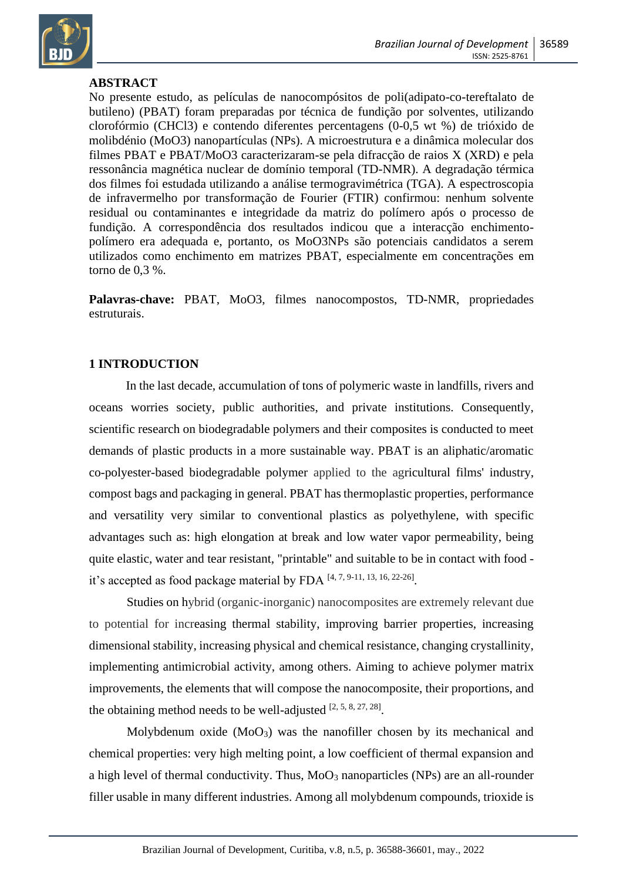

## **ABSTRACT**

No presente estudo, as películas de nanocompósitos de poli(adipato-co-tereftalato de butileno) (PBAT) foram preparadas por técnica de fundição por solventes, utilizando clorofórmio (CHCl3) e contendo diferentes percentagens (0-0,5 wt %) de trióxido de molibdénio (MoO3) nanopartículas (NPs). A microestrutura e a dinâmica molecular dos filmes PBAT e PBAT/MoO3 caracterizaram-se pela difracção de raios X (XRD) e pela ressonância magnética nuclear de domínio temporal (TD-NMR). A degradação térmica dos filmes foi estudada utilizando a análise termogravimétrica (TGA). A espectroscopia de infravermelho por transformação de Fourier (FTIR) confirmou: nenhum solvente residual ou contaminantes e integridade da matriz do polímero após o processo de fundição. A correspondência dos resultados indicou que a interacção enchimentopolímero era adequada e, portanto, os MoO3NPs são potenciais candidatos a serem utilizados como enchimento em matrizes PBAT, especialmente em concentrações em torno de 0,3 %.

**Palavras-chave:** PBAT, MoO3, filmes nanocompostos, TD-NMR, propriedades estruturais.

### **1 INTRODUCTION**

In the last decade, accumulation of tons of polymeric waste in landfills, rivers and oceans worries society, public authorities, and private institutions. Consequently, scientific research on biodegradable polymers and their composites is conducted to meet demands of plastic products in a more sustainable way. PBAT is an aliphatic/aromatic co-polyester-based biodegradable polymer applied to the agricultural films' industry, compost bags and packaging in general. PBAT has thermoplastic properties, performance and versatility very similar to conventional plastics as polyethylene, with specific advantages such as: high elongation at break and low water vapor permeability, being quite elastic, water and tear resistant, "printable" and suitable to be in contact with food it's accepted as food package material by FDA [4, 7, 9-11, 13, 16, 22-26].

Studies on hybrid (organic-inorganic) nanocomposites are extremely relevant due to potential for increasing thermal stability, improving barrier properties, increasing dimensional stability, increasing physical and chemical resistance, changing crystallinity, implementing antimicrobial activity, among others. Aiming to achieve polymer matrix improvements, the elements that will compose the nanocomposite, their proportions, and the obtaining method needs to be well-adjusted  $[2, 5, 8, 27, 28]$ .

Molybdenum oxide  $(MoO<sub>3</sub>)$  was the nanofiller chosen by its mechanical and chemical properties: very high melting point, a low coefficient of thermal expansion and a high level of thermal conductivity. Thus,  $MoO<sub>3</sub>$  nanoparticles (NPs) are an all-rounder filler usable in many different industries. Among all molybdenum compounds, trioxide is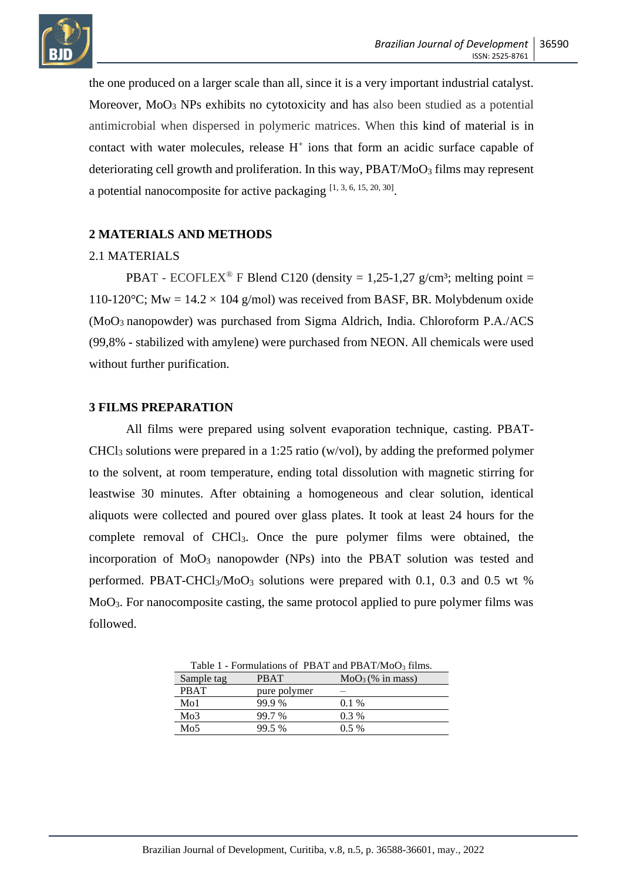

the one produced on a larger scale than all, since it is a very important industrial catalyst. Moreover,  $Mo<sub>3</sub> NPs$  exhibits no cytotoxicity and has also been studied as a potential antimicrobial when dispersed in polymeric matrices. When this kind of material is in contact with water molecules, release  $H^+$  ions that form an acidic surface capable of deteriorating cell growth and proliferation. In this way,  $PBAT/Moo<sub>3</sub>$  films may represent a potential nanocomposite for active packaging  $[1, 3, 6, 15, 20, 30]$ .

### **2 MATERIALS AND METHODS**

### 2.1 MATERIALS

PBAT - ECOFLEX<sup>®</sup> F Blend C120 (density = 1,25-1,27 g/cm<sup>3</sup>; melting point = 110-120 $^{\circ}$ C; Mw = 14.2 × 104 g/mol) was received from BASF, BR. Molybdenum oxide (MoO3 nanopowder) was purchased from Sigma Aldrich, India. Chloroform P.A./ACS (99,8% - stabilized with amylene) were purchased from NEON. All chemicals were used without further purification.

#### **3 FILMS PREPARATION**

All films were prepared using solvent evaporation technique, casting. PBAT-CHCl<sup>3</sup> solutions were prepared in a 1:25 ratio (w/vol), by adding the preformed polymer to the solvent, at room temperature, ending total dissolution with magnetic stirring for leastwise 30 minutes. After obtaining a homogeneous and clear solution, identical aliquots were collected and poured over glass plates. It took at least 24 hours for the complete removal of CHCl3. Once the pure polymer films were obtained, the incorporation of MoO<sup>3</sup> nanopowder (NPs) into the PBAT solution was tested and performed. PBAT-CHCl<sub>3</sub>/MoO<sub>3</sub> solutions were prepared with 0.1, 0.3 and 0.5 wt % MoO3. For nanocomposite casting, the same protocol applied to pure polymer films was followed.

Table 1 - Formulations of PBAT and PBAT/MoO<sub>3</sub> films. Sample tag PBAT  $MoO<sub>3</sub>(% in mass)$ PBAT pure polymer Mo1 99.9 % 0.1 %  $M<sub>0</sub>3$  99.7 % 0.3 % Mo<sub>5</sub> 99.5 % 0.5 %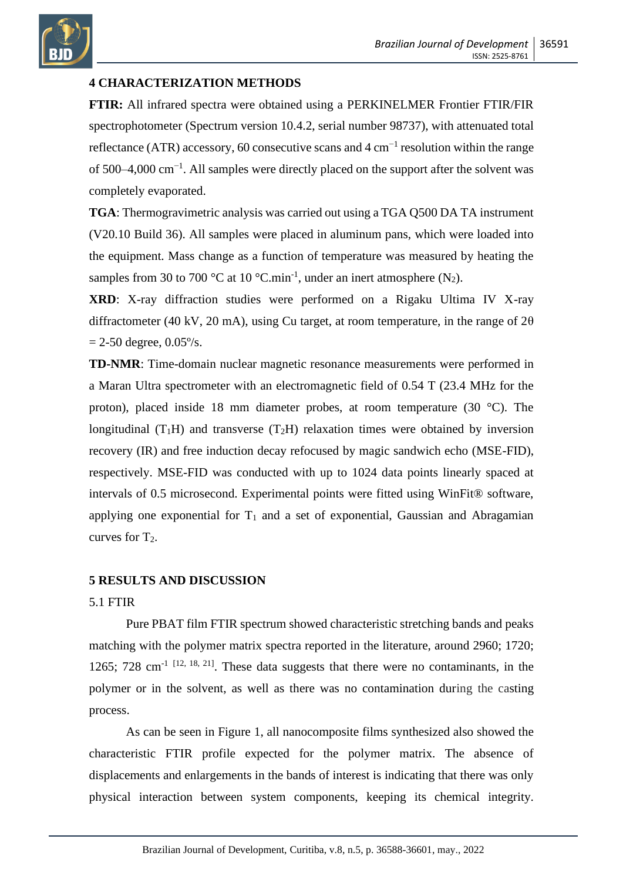

### **4 CHARACTERIZATION METHODS**

**FTIR:** All infrared spectra were obtained using a PERKINELMER Frontier FTIR/FIR spectrophotometer (Spectrum version 10.4.2, serial number 98737), with attenuated total reflectance (ATR) accessory, 60 consecutive scans and  $4 \text{ cm}^{-1}$  resolution within the range of 500–4,000 cm−1 . All samples were directly placed on the support after the solvent was completely evaporated.

**TGA**: Thermogravimetric analysis was carried out using a TGA Q500 DA TA instrument (V20.10 Build 36). All samples were placed in aluminum pans, which were loaded into the equipment. Mass change as a function of temperature was measured by heating the samples from 30 to 700 °C at 10 °C.min<sup>-1</sup>, under an inert atmosphere  $(N_2)$ .

**XRD**: X-ray diffraction studies were performed on a Rigaku Ultima IV X-ray diffractometer (40 kV, 20 mA), using Cu target, at room temperature, in the range of  $2\theta$  $= 2-50$  degree,  $0.05\%$ .

**TD-NMR**: Time-domain nuclear magnetic resonance measurements were performed in a Maran Ultra spectrometer with an electromagnetic field of 0.54 T (23.4 MHz for the proton), placed inside 18 mm diameter probes, at room temperature (30 °C). The longitudinal  $(T_1H)$  and transverse  $(T_2H)$  relaxation times were obtained by inversion recovery (IR) and free induction decay refocused by magic sandwich echo (MSE-FID), respectively. MSE-FID was conducted with up to 1024 data points linearly spaced at intervals of 0.5 microsecond. Experimental points were fitted using WinFit® software, applying one exponential for  $T_1$  and a set of exponential, Gaussian and Abragamian curves for  $T_2$ .

### **5 RESULTS AND DISCUSSION**

### 5.1 FTIR

Pure PBAT film FTIR spectrum showed characteristic stretching bands and peaks matching with the polymer matrix spectra reported in the literature, around 2960; 1720; 1265; 728 cm<sup>-1 [12, 18, 21]</sup>. These data suggests that there were no contaminants, in the polymer or in the solvent, as well as there was no contamination during the casting process.

As can be seen in Figure 1, all nanocomposite films synthesized also showed the characteristic FTIR profile expected for the polymer matrix. The absence of displacements and enlargements in the bands of interest is indicating that there was only physical interaction between system components, keeping its chemical integrity.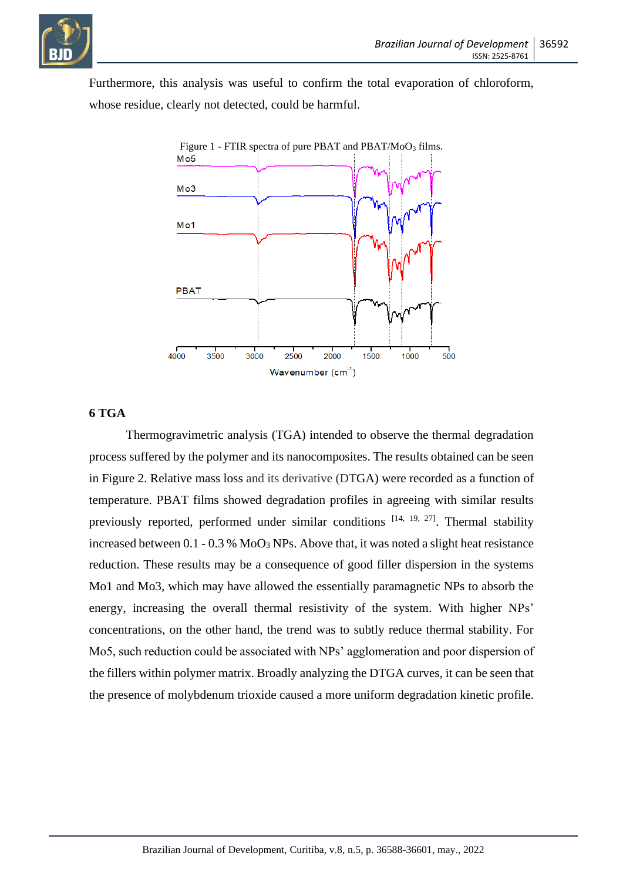

Furthermore, this analysis was useful to confirm the total evaporation of chloroform, whose residue, clearly not detected, could be harmful.



#### **6 TGA**

Thermogravimetric analysis (TGA) intended to observe the thermal degradation process suffered by the polymer and its nanocomposites. The results obtained can be seen in Figure 2. Relative mass loss and its derivative (DTGA) were recorded as a function of temperature. PBAT films showed degradation profiles in agreeing with similar results previously reported, performed under similar conditions [14, 19, 27]. Thermal stability increased between  $0.1 - 0.3$  %  $\text{MoO}_3$  NPs. Above that, it was noted a slight heat resistance reduction. These results may be a consequence of good filler dispersion in the systems Mo1 and Mo3, which may have allowed the essentially paramagnetic NPs to absorb the energy, increasing the overall thermal resistivity of the system. With higher NPs' concentrations, on the other hand, the trend was to subtly reduce thermal stability. For Mo5, such reduction could be associated with NPs' agglomeration and poor dispersion of the fillers within polymer matrix. Broadly analyzing the DTGA curves, it can be seen that the presence of molybdenum trioxide caused a more uniform degradation kinetic profile.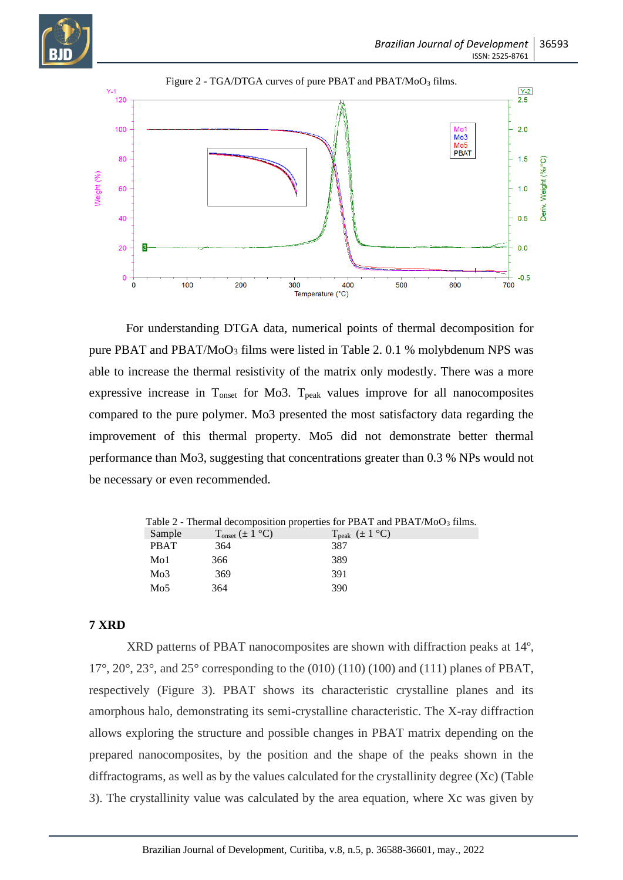



For understanding DTGA data, numerical points of thermal decomposition for pure PBAT and PBAT/MoO<sub>3</sub> films were listed in Table 2. 0.1 % molybdenum NPS was able to increase the thermal resistivity of the matrix only modestly. There was a more expressive increase in Tonset for Mo3. Tpeak values improve for all nanocomposites compared to the pure polymer. Mo3 presented the most satisfactory data regarding the improvement of this thermal property. Mo5 did not demonstrate better thermal performance than Mo3, suggesting that concentrations greater than 0.3 % NPs would not be necessary or even recommended.

|             |                                              | Table 2 - Thermal decomposition properties for PBAT and PBAT/MoO <sub>3</sub> films. |
|-------------|----------------------------------------------|--------------------------------------------------------------------------------------|
| Sample      | $T_{\text{onset}} (\pm 1 \text{ }^{\circ}C)$ | $T_{\text{peak}}$ ( $\pm 1$ °C)                                                      |
| <b>PBAT</b> | 364                                          | 387                                                                                  |
| Mo1         | 366                                          | 389                                                                                  |
| Mo3         | 369                                          | 391                                                                                  |
| Mo5         | 364                                          | 390                                                                                  |

### **7 XRD**

XRD patterns of PBAT nanocomposites are shown with diffraction peaks at 14º,  $17^{\circ}$ ,  $20^{\circ}$ ,  $23^{\circ}$ , and  $25^{\circ}$  corresponding to the (010) (110) (100) and (111) planes of PBAT, respectively (Figure 3). PBAT shows its characteristic crystalline planes and its amorphous halo, demonstrating its semi-crystalline characteristic. The X-ray diffraction allows exploring the structure and possible changes in PBAT matrix depending on the prepared nanocomposites, by the position and the shape of the peaks shown in the diffractograms, as well as by the values calculated for the crystallinity degree (Xc) (Table 3). The crystallinity value was calculated by the area equation, where Xc was given by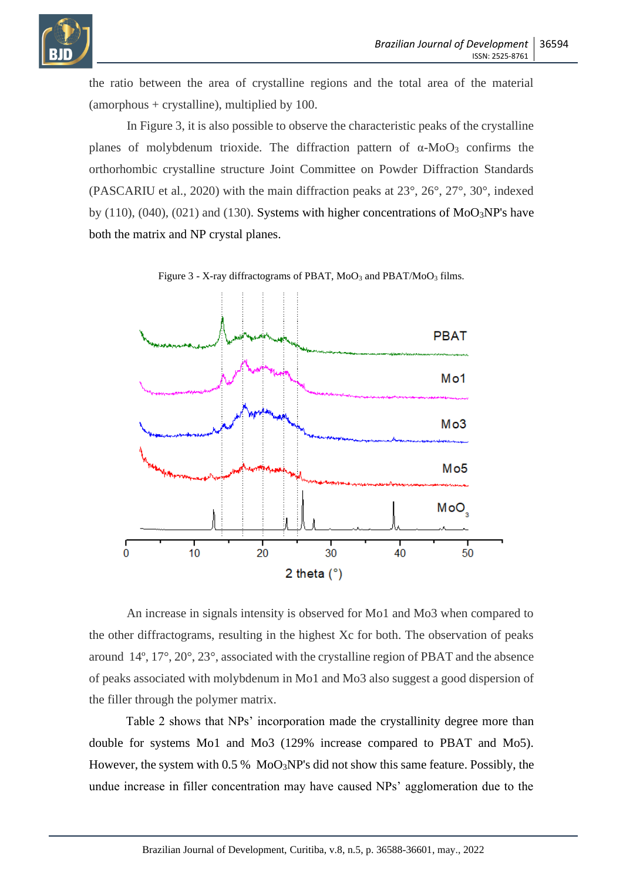

the ratio between the area of crystalline regions and the total area of the material  $(amorphous + crystalline)$ , multiplied by 100.

In Figure 3, it is also possible to observe the characteristic peaks of the crystalline planes of molybdenum trioxide. The diffraction pattern of  $α$ -MoO<sub>3</sub> confirms the orthorhombic crystalline structure Joint Committee on Powder Diffraction Standards (PASCARIU et al., 2020) with the main diffraction peaks at 23°, 26°, 27°, 30°, indexed by  $(110)$ ,  $(040)$ ,  $(021)$  and  $(130)$ . Systems with higher concentrations of MoO<sub>3</sub>NP's have both the matrix and NP crystal planes.





An increase in signals intensity is observed for Mo1 and Mo3 when compared to the other diffractograms, resulting in the highest Xc for both. The observation of peaks around 14º, 17°, 20°, 23°, associated with the crystalline region of PBAT and the absence of peaks associated with molybdenum in Mo1 and Mo3 also suggest a good dispersion of the filler through the polymer matrix.

Table 2 shows that NPs' incorporation made the crystallinity degree more than double for systems Mo1 and Mo3 (129% increase compared to PBAT and Mo5). However, the system with  $0.5\%$  MoO<sub>3</sub>NP's did not show this same feature. Possibly, the undue increase in filler concentration may have caused NPs' agglomeration due to the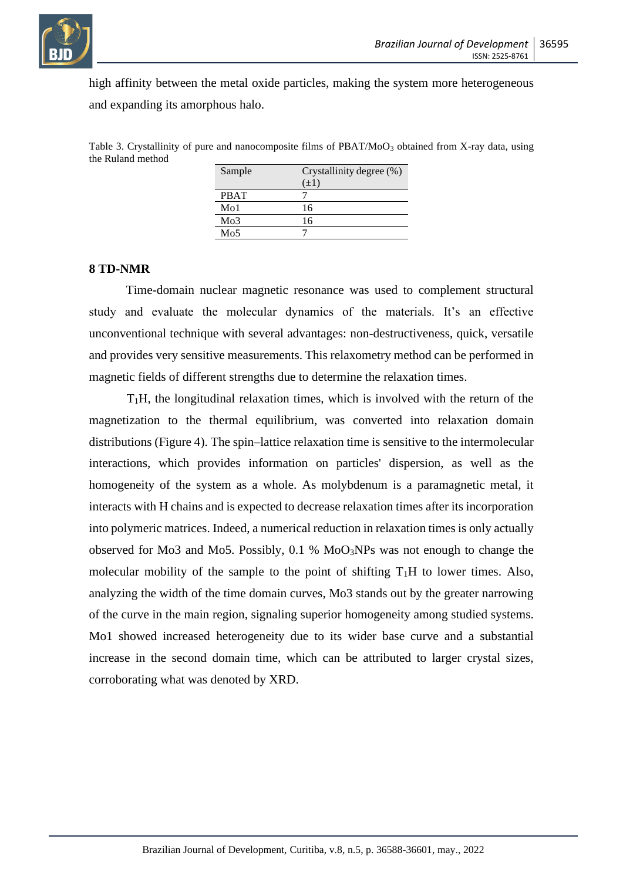

high affinity between the metal oxide particles, making the system more heterogeneous and expanding its amorphous halo.

Table 3. Crystallinity of pure and nanocomposite films of  $\text{PBAT}/\text{MoO}_3$  obtained from X-ray data, using the Ruland method

| Sample           | Crystallinity degree (%) |  |  |
|------------------|--------------------------|--|--|
|                  | $(\pm 1)$                |  |  |
| <b>PBAT</b>      |                          |  |  |
| M <sub>0</sub> 1 | 16                       |  |  |
| Mo3              | 16                       |  |  |
| Mo5              |                          |  |  |

#### **8 TD-NMR**

Time-domain nuclear magnetic resonance was used to complement structural study and evaluate the molecular dynamics of the materials. It's an effective unconventional technique with several advantages: non-destructiveness, quick, versatile and provides very sensitive measurements. This relaxometry method can be performed in magnetic fields of different strengths due to determine the relaxation times.

 $T_1H$ , the longitudinal relaxation times, which is involved with the return of the magnetization to the thermal equilibrium, was converted into relaxation domain distributions (Figure 4). The spin–lattice relaxation time is sensitive to the intermolecular interactions, which provides information on particles' dispersion, as well as the homogeneity of the system as a whole. As molybdenum is a paramagnetic metal, it interacts with H chains and is expected to decrease relaxation times after its incorporation into polymeric matrices. Indeed, a numerical reduction in relaxation times is only actually observed for Mo3 and Mo5. Possibly, 0.1 % MoO3NPs was not enough to change the molecular mobility of the sample to the point of shifting  $T_1H$  to lower times. Also, analyzing the width of the time domain curves, Mo3 stands out by the greater narrowing of the curve in the main region, signaling superior homogeneity among studied systems. Mo1 showed increased heterogeneity due to its wider base curve and a substantial increase in the second domain time, which can be attributed to larger crystal sizes, corroborating what was denoted by XRD.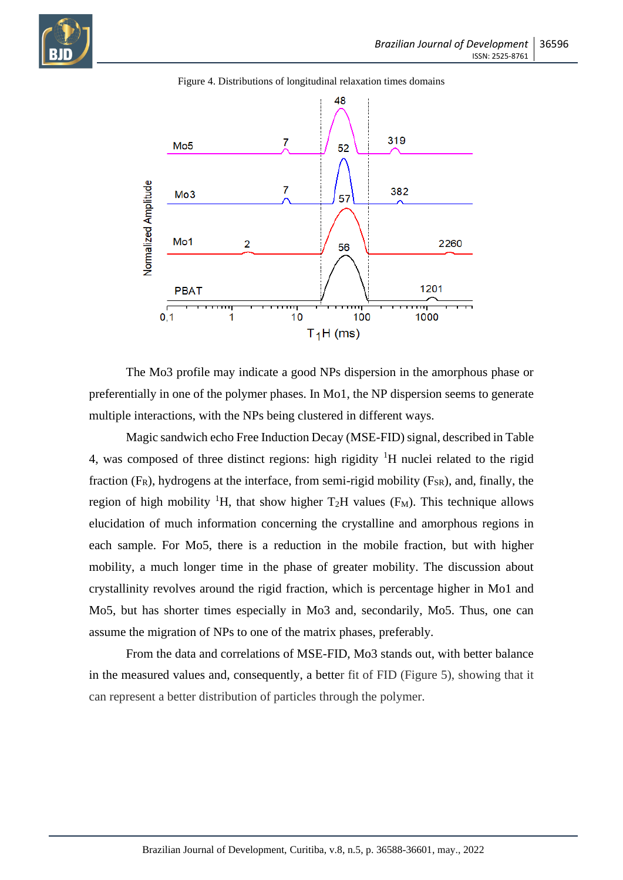



Figure 4. Distributions of longitudinal relaxation times domains

The Mo3 profile may indicate a good NPs dispersion in the amorphous phase or preferentially in one of the polymer phases. In Mo1, the NP dispersion seems to generate multiple interactions, with the NPs being clustered in different ways.

Magic sandwich echo Free Induction Decay (MSE-FID) signal, described in Table 4, was composed of three distinct regions: high rigidity  ${}^{1}H$  nuclei related to the rigid fraction  $(F_R)$ , hydrogens at the interface, from semi-rigid mobility  $(F_{SR})$ , and, finally, the region of high mobility <sup>1</sup>H, that show higher  $T_2H$  values (F<sub>M</sub>). This technique allows elucidation of much information concerning the crystalline and amorphous regions in each sample. For Mo5, there is a reduction in the mobile fraction, but with higher mobility, a much longer time in the phase of greater mobility. The discussion about crystallinity revolves around the rigid fraction, which is percentage higher in Mo1 and Mo5, but has shorter times especially in Mo3 and, secondarily, Mo5. Thus, one can assume the migration of NPs to one of the matrix phases, preferably.

From the data and correlations of MSE-FID, Mo3 stands out, with better balance in the measured values and, consequently, a better fit of FID (Figure 5), showing that it can represent a better distribution of particles through the polymer.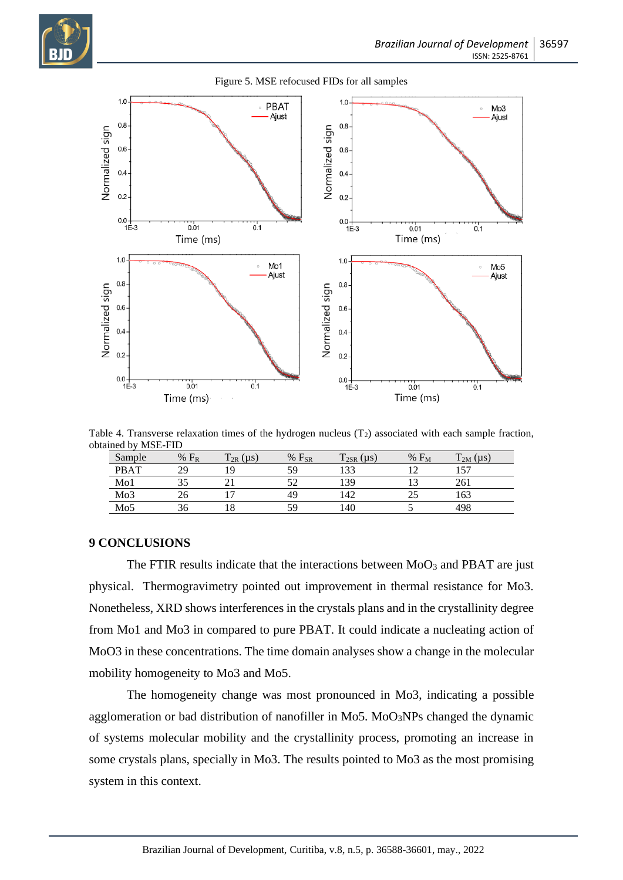



#### Figure 5. MSE refocused FIDs for all samples

Table 4. Transverse relaxation times of the hydrogen nucleus  $(T_2)$  associated with each sample fraction, obtained by MSE-FID

| Sample      | $%$ $F_R$ | $T_{2R}(\mu s)$ | $%$ $F_{SR}$ | $T_{2SR}(\mu s)$ | $% F_M$ | $T_{2M}(\mu s)$ |
|-------------|-----------|-----------------|--------------|------------------|---------|-----------------|
| <b>PBAT</b> | 29        | ٦Ω.             | 59           | 133              |         | $\overline{r}$  |
| Mo1         |           |                 |              | 139              |         | 261             |
| Mo3         |           |                 | 49           | 142              |         | 163             |
| Mo5         |           | 10              | 59           | 40ء              |         | 498             |

#### **9 CONCLUSIONS**

The FTIR results indicate that the interactions between  $MoO<sub>3</sub>$  and PBAT are just physical. Thermogravimetry pointed out improvement in thermal resistance for Mo3. Nonetheless, XRD shows interferences in the crystals plans and in the crystallinity degree from Mo1 and Mo3 in compared to pure PBAT. It could indicate a nucleating action of MoO3 in these concentrations. The time domain analyses show a change in the molecular mobility homogeneity to Mo3 and Mo5.

The homogeneity change was most pronounced in Mo3, indicating a possible agglomeration or bad distribution of nanofiller in Mo5. MoO<sub>3</sub>NPs changed the dynamic of systems molecular mobility and the crystallinity process, promoting an increase in some crystals plans, specially in Mo3. The results pointed to Mo3 as the most promising system in this context.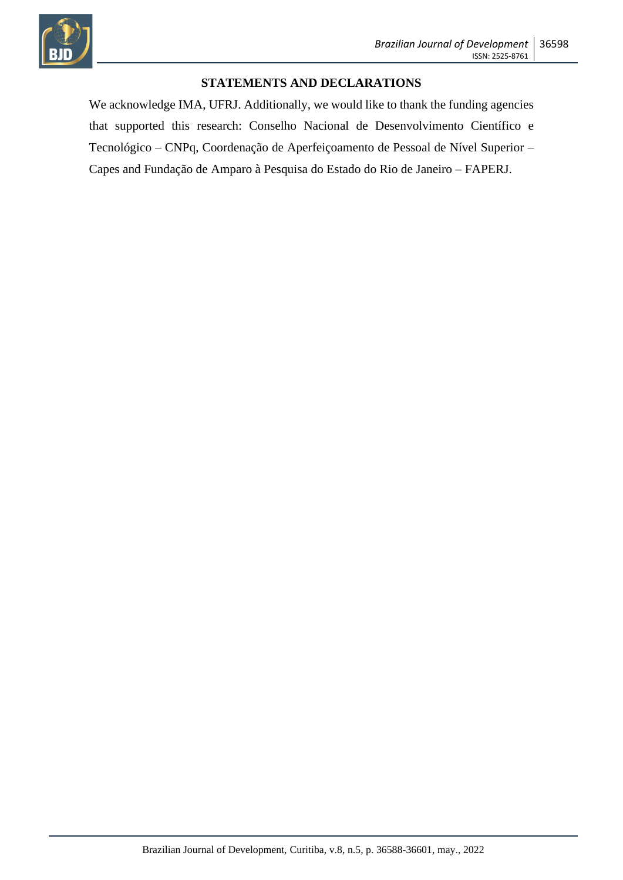

#### **STATEMENTS AND DECLARATIONS**

We acknowledge IMA, UFRJ. Additionally, we would like to thank the funding agencies that supported this research: Conselho Nacional de Desenvolvimento Científico e Tecnológico – CNPq, Coordenação de Aperfeiçoamento de Pessoal de Nível Superior – Capes and Fundação de Amparo à Pesquisa do Estado do Rio de Janeiro – FAPERJ.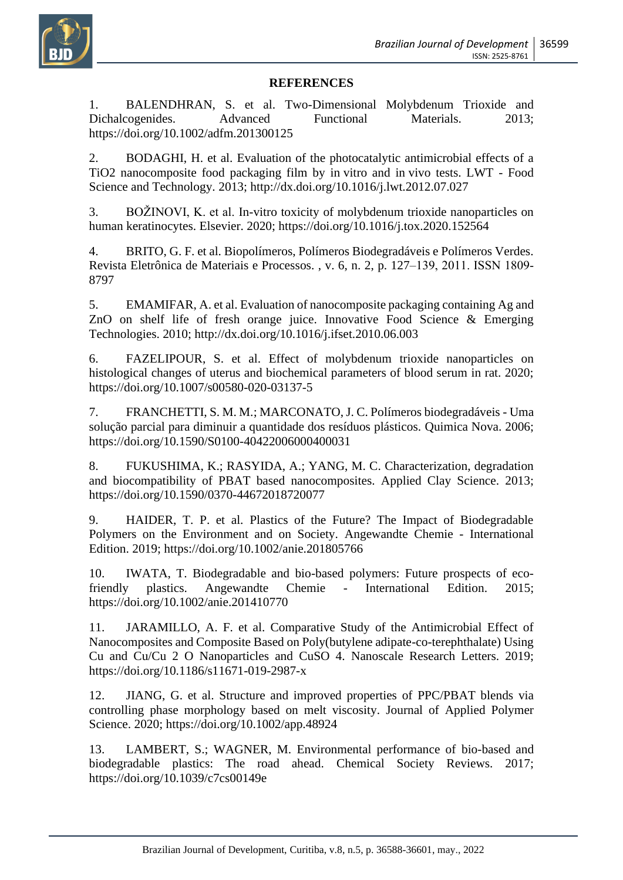

#### **REFERENCES**

1. BALENDHRAN, S. et al. Two-Dimensional Molybdenum Trioxide and Dichalcogenides. Advanced Functional Materials. 2013; https://doi.org/10.1002/adfm.201300125

2. BODAGHI, H. et al. Evaluation of the photocatalytic antimicrobial effects of a TiO2 nanocomposite food packaging film by in vitro and in vivo tests. LWT - Food Science and Technology. 2013; http://dx.doi.org/10.1016/j.lwt.2012.07.027

3. BOŽINOVI, K. et al. In-vitro toxicity of molybdenum trioxide nanoparticles on human keratinocytes. Elsevier. 2020; https://doi.org/10.1016/j.tox.2020.152564

4. BRITO, G. F. et al. Biopolímeros, Polímeros Biodegradáveis e Polímeros Verdes. Revista Eletrônica de Materiais e Processos. , v. 6, n. 2, p. 127–139, 2011. ISSN 1809‐ 8797

5. EMAMIFAR, A. et al. Evaluation of nanocomposite packaging containing Ag and ZnO on shelf life of fresh orange juice. Innovative Food Science & Emerging Technologies. 2010; http://dx.doi.org/10.1016/j.ifset.2010.06.003

6. FAZELIPOUR, S. et al. Effect of molybdenum trioxide nanoparticles on histological changes of uterus and biochemical parameters of blood serum in rat. 2020; https://doi.org/10.1007/s00580-020-03137-5

7. FRANCHETTI, S. M. M.; MARCONATO, J. C. Polímeros biodegradáveis - Uma solução parcial para diminuir a quantidade dos resíduos plásticos. Quimica Nova. 2006; https://doi.org/10.1590/S0100-40422006000400031

8. FUKUSHIMA, K.; RASYIDA, A.; YANG, M. C. Characterization, degradation and biocompatibility of PBAT based nanocomposites. Applied Clay Science. 2013; https://doi.org/10.1590/0370-44672018720077

9. HAIDER, T. P. et al. Plastics of the Future? The Impact of Biodegradable Polymers on the Environment and on Society. Angewandte Chemie - International Edition. 2019; https://doi.org/10.1002/anie.201805766

10. IWATA, T. Biodegradable and bio-based polymers: Future prospects of ecofriendly plastics. Angewandte Chemie - International Edition. 2015; https://doi.org/10.1002/anie.201410770

11. JARAMILLO, A. F. et al. Comparative Study of the Antimicrobial Effect of Nanocomposites and Composite Based on Poly(butylene adipate-co-terephthalate) Using Cu and Cu/Cu 2 O Nanoparticles and CuSO 4. Nanoscale Research Letters. 2019; https://doi.org/10.1186/s11671-019-2987-x

12. JIANG, G. et al. Structure and improved properties of PPC/PBAT blends via controlling phase morphology based on melt viscosity. Journal of Applied Polymer Science. 2020; https://doi.org/10.1002/app.48924

13. LAMBERT, S.; WAGNER, M. Environmental performance of bio-based and biodegradable plastics: The road ahead. Chemical Society Reviews. 2017; https://doi.org/10.1039/c7cs00149e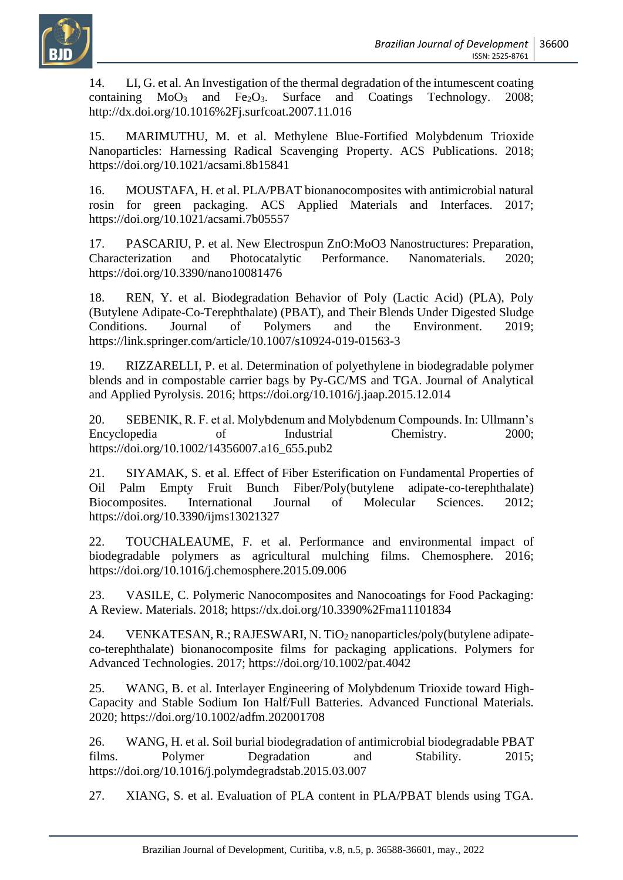

14. LI, G. et al. An Investigation of the thermal degradation of the intumescent coating containing  $MoO<sub>3</sub>$  and Fe<sub>2</sub>O<sub>3</sub>. Surface and Coatings Technology. 2008; http://dx.doi.org/10.1016%2Fj.surfcoat.2007.11.016

15. MARIMUTHU, M. et al. Methylene Blue-Fortified Molybdenum Trioxide Nanoparticles: Harnessing Radical Scavenging Property. ACS Publications. 2018; https://doi.org/10.1021/acsami.8b15841

16. MOUSTAFA, H. et al. PLA/PBAT bionanocomposites with antimicrobial natural rosin for green packaging. ACS Applied Materials and Interfaces. 2017; https://doi.org/10.1021/acsami.7b05557

17. PASCARIU, P. et al. New Electrospun ZnO:MoO3 Nanostructures: Preparation, Characterization and Photocatalytic Performance. Nanomaterials. 2020; https://doi.org/10.3390/nano10081476

18. REN, Y. et al. Biodegradation Behavior of Poly (Lactic Acid) (PLA), Poly (Butylene Adipate-Co-Terephthalate) (PBAT), and Their Blends Under Digested Sludge Conditions. Journal of Polymers and the Environment. 2019; https://link.springer.com/article/10.1007/s10924-019-01563-3

19. RIZZARELLI, P. et al. Determination of polyethylene in biodegradable polymer blends and in compostable carrier bags by Py-GC/MS and TGA. Journal of Analytical and Applied Pyrolysis. 2016; https://doi.org/10.1016/j.jaap.2015.12.014

20. SEBENIK, R. F. et al. Molybdenum and Molybdenum Compounds. In: Ullmann's Encyclopedia of Industrial Chemistry. 2000; https://doi.org/10.1002/14356007.a16\_655.pub2

21. SIYAMAK, S. et al. Effect of Fiber Esterification on Fundamental Properties of Oil Palm Empty Fruit Bunch Fiber/Poly(butylene adipate-co-terephthalate) Biocomposites. International Journal of Molecular Sciences. 2012; https://doi.org/10.3390/ijms13021327

22. TOUCHALEAUME, F. et al. Performance and environmental impact of biodegradable polymers as agricultural mulching films. Chemosphere. 2016; https://doi.org/10.1016/j.chemosphere.2015.09.006

23. VASILE, C. Polymeric Nanocomposites and Nanocoatings for Food Packaging: A Review. Materials. 2018; https://dx.doi.org/10.3390%2Fma11101834

24. VENKATESAN, R.; RAJESWARI, N. TiO<sub>2</sub> nanoparticles/poly(butylene adipateco-terephthalate) bionanocomposite films for packaging applications. Polymers for Advanced Technologies. 2017; https://doi.org/10.1002/pat.4042

25. WANG, B. et al. Interlayer Engineering of Molybdenum Trioxide toward High-Capacity and Stable Sodium Ion Half/Full Batteries. Advanced Functional Materials. 2020; https://doi.org/10.1002/adfm.202001708

26. WANG, H. et al. Soil burial biodegradation of antimicrobial biodegradable PBAT films. Polymer Degradation and Stability. 2015; https://doi.org/10.1016/j.polymdegradstab.2015.03.007

27. XIANG, S. et al. Evaluation of PLA content in PLA/PBAT blends using TGA.